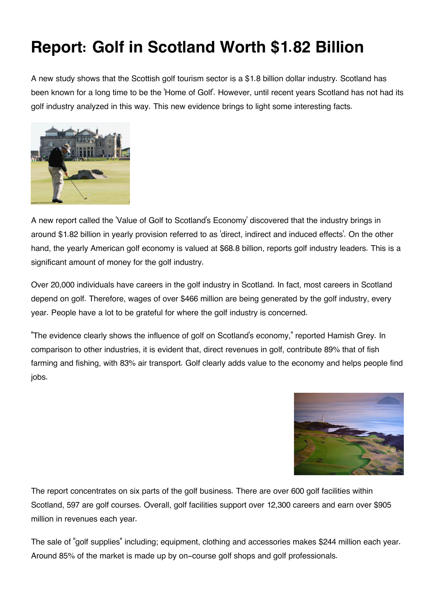## **Report: Golf in Scotland Worth \$1.82 Billion**

A new study shows that the Scottish golf tourism sector is a \$1.8 billion dollar industry. Scotland has been known for a long time to be the 'Home of Golf'. However, until recent years Scotland has not had its golf industry analyzed in this way. This new evidence brings to light some interesting facts.



A new report called the 'Value of Golf to Scotland's Economy' discovered that the industry brings in around \$1.82 billion in yearly provision referred to as 'direct, indirect and induced effects'. On the other hand, the yearly American golf economy is valued at \$68.8 billion, reports golf industry leaders. This is a significant amount of money for the golf industry.

Over 20,000 individuals have careers in the golf industry in Scotland. In fact, most careers in Scotland depend on golf. Therefore, wages of over \$466 million are being generated by the golf industry, every year. People have a lot to be grateful for where the golf industry is concerned.

"The evidence clearly shows the influence of golf on Scotland's economy," reported Hamish Grey. In comparison to other industries, it is evident that, direct revenues in golf, contribute 89% that of fish farming and fishing, with 83% air transport. Golf clearly adds value to the economy and helps people find jobs.



The report concentrates on six parts of the golf business. There are over 600 golf facilities within Scotland, 597 are golf courses. Overall, golf facilities support over 12,300 careers and earn over \$905 million in revenues each year.

The sale of "golf supplies" including; equipment, clothing and accessories makes \$244 million each year. Around 85% of the market is made up by on-course golf shops and golf professionals.